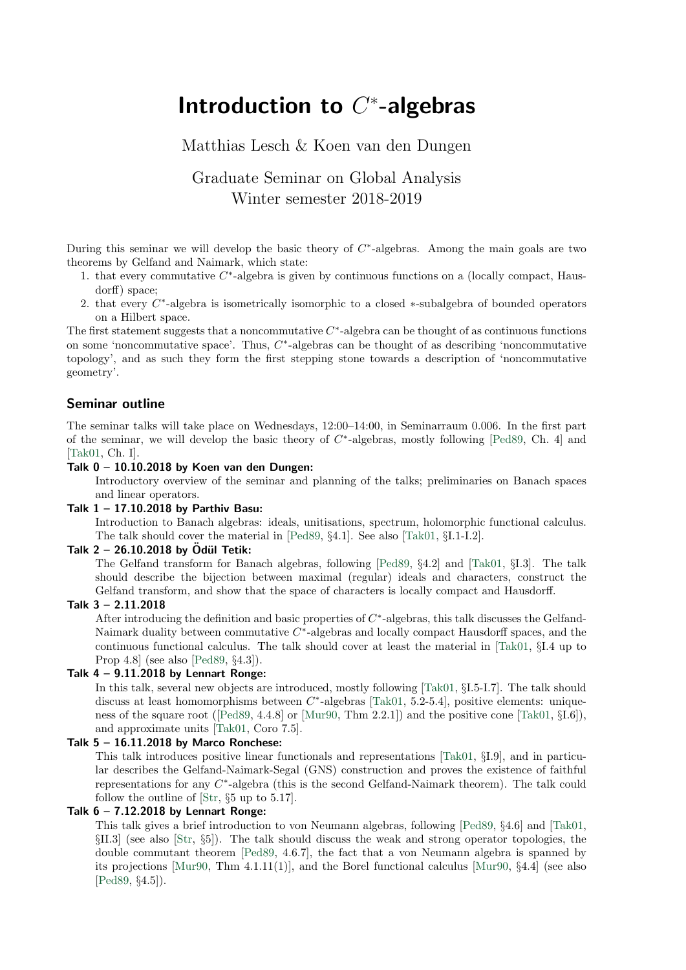# Introduction to  $C^*$ -algebras

# Matthias Lesch & Koen van den Dungen

# Graduate Seminar on Global Analysis Winter semester 2018-2019

During this seminar we will develop the basic theory of  $C^*$ -algebras. Among the main goals are two theorems by Gelfand and Naimark, which state:

- 1. that every commutative  $C^*$ -algebra is given by continuous functions on a (locally compact, Hausdorff) space;
- 2. that every  $C^*$ -algebra is isometrically isomorphic to a closed  $*$ -subalgebra of bounded operators on a Hilbert space.

The first statement suggests that a noncommutative  $C^*$ -algebra can be thought of as continuous functions on some 'noncommutative space'. Thus,  $C^*$ -algebras can be thought of as describing 'noncommutative topology', and as such they form the first stepping stone towards a description of 'noncommutative geometry'.

## Seminar outline

The seminar talks will take place on Wednesdays, 12:00–14:00, in Seminarraum 0.006. In the first part of the seminar, we will develop the basic theory of  $C^*$ -algebras, mostly following [\[Ped89,](#page-1-0) Ch. 4] and [\[Tak01,](#page-1-1) Ch. I].

## Talk  $0 - 10.10.2018$  by Koen van den Dungen:

Introductory overview of the seminar and planning of the talks; preliminaries on Banach spaces and linear operators.

#### Talk 1 – 17.10.2018 by Parthiv Basu:

Introduction to Banach algebras: ideals, unitisations, spectrum, holomorphic functional calculus. The talk should cover the material in [\[Ped89,](#page-1-0) §4.1]. See also [\[Tak01,](#page-1-1) §I.1-I.2].

#### Talk  $2 - 26.10.2018$  by Ödül Tetik:

The Gelfand transform for Banach algebras, following [\[Ped89,](#page-1-0) §4.2] and [\[Tak01,](#page-1-1) §I.3]. The talk should describe the bijection between maximal (regular) ideals and characters, construct the Gelfand transform, and show that the space of characters is locally compact and Hausdorff.

#### Talk 3 – 2.11.2018

After introducing the definition and basic properties of  $C^*$ -algebras, this talk discusses the Gelfand-Naimark duality between commutative  $C^*$ -algebras and locally compact Hausdorff spaces, and the continuous functional calculus. The talk should cover at least the material in [\[Tak01,](#page-1-1) §I.4 up to Prop 4.8] (see also [\[Ped89,](#page-1-0) §4.3]).

# Talk  $4 - 9.11.2018$  by Lennart Ronge:

In this talk, several new objects are introduced, mostly following [\[Tak01,](#page-1-1) §I.5-I.7]. The talk should discuss at least homomorphisms between  $C^*$ -algebras [\[Tak01,](#page-1-1) 5.2-5.4], positive elements: uniqueness of the square root ([\[Ped89,](#page-1-0) 4.4.8] or [\[Mur90,](#page-1-2) Thm 2.2.1]) and the positive cone [\[Tak01,](#page-1-1) §I.6]), and approximate units [\[Tak01,](#page-1-1) Coro 7.5].

#### Talk 5 – 16.11.2018 by Marco Ronchese:

This talk introduces positive linear functionals and representations [\[Tak01,](#page-1-1) §I.9], and in particular describes the Gelfand-Naimark-Segal (GNS) construction and proves the existence of faithful representations for any  $C^*$ -algebra (this is the second Gelfand-Naimark theorem). The talk could follow the outline of [\[Str,](#page-1-3) §5 up to 5.17].

# Talk  $6 - 7.12.2018$  by Lennart Ronge:

This talk gives a brief introduction to von Neumann algebras, following [\[Ped89,](#page-1-0) §4.6] and [\[Tak01,](#page-1-1) §II.3] (see also [\[Str,](#page-1-3) §5]). The talk should discuss the weak and strong operator topologies, the double commutant theorem [\[Ped89,](#page-1-0) 4.6.7], the fact that a von Neumann algebra is spanned by its projections [\[Mur90,](#page-1-2) Thm  $4.1.11(1)$ ], and the Borel functional calculus [Mur90,  $\S4.4$ ] (see also [\[Ped89,](#page-1-0) §4.5]).